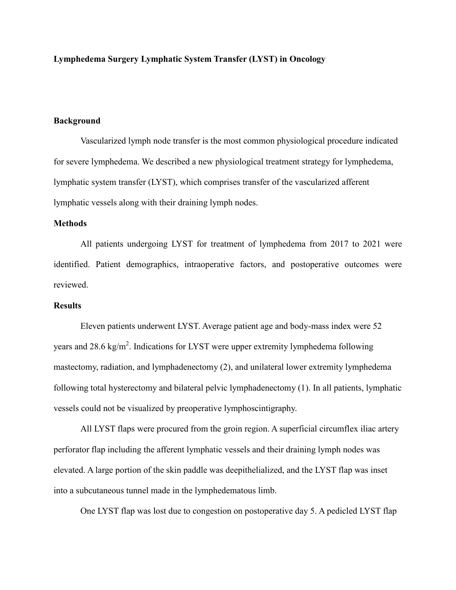**Lymphedema Surgery Lymphatic System Transfer (LYST) in Oncology**

## **Background**

Vascularized lymph node transfer is the most common physiological procedure indicated for severe lymphedema. We described a new physiological treatment strategy for lymphedema, lymphatic system transfer (LYST), which comprises transfer of the vascularized afferent lymphatic vessels along with their draining lymph nodes.

## **Methods**

All patients undergoing LYST for treatment of lymphedema from 2017 to 2021 were identified. Patient demographics, intraoperative factors, and postoperative outcomes were reviewed.

## **Results**

Eleven patients underwent LYST. Average patient age and body-mass index were 52 years and 28.6 kg/m<sup>2</sup>. Indications for LYST were upper extremity lymphedema following mastectomy, radiation, and lymphadenectomy (2), and unilateral lower extremity lymphedema following total hysterectomy and bilateral pelvic lymphadenectomy (1). In all patients, lymphatic vessels could not be visualized by preoperative lymphoscintigraphy.

All LYST flaps were procured from the groin region. A superficial circumflex iliac artery perforator flap including the afferent lymphatic vessels and their draining lymph nodes was elevated. A large portion of the skin paddle was deepithelialized, and the LYST flap was inset into a subcutaneous tunnel made in the lymphedematous limb.

One LYST flap was lost due to congestion on postoperative day 5. A pedicled LYST flap